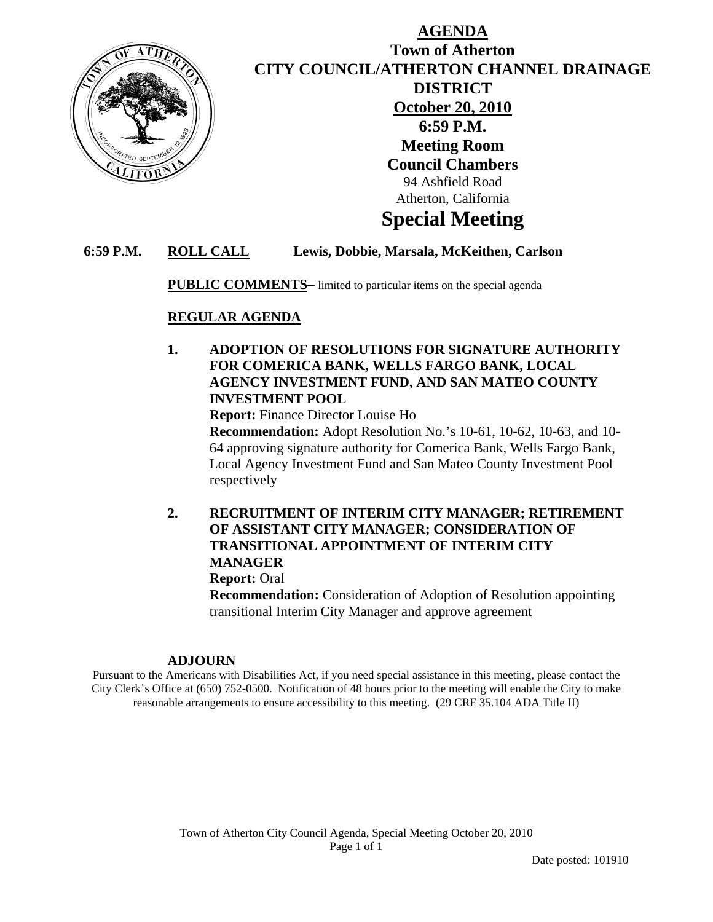

## **AGENDA Town of Atherton CITY COUNCIL/ATHERTON CHANNEL DRAINAGE DISTRICT October 20, 2010 6:59 P.M. Meeting Room Council Chambers**  94 Ashfield Road Atherton, California

# **Special Meeting**

### **6:59 P.M. ROLL CALL Lewis, Dobbie, Marsala, McKeithen, Carlson**

**PUBLIC COMMENTS–** limited to particular items on the special agenda

#### **REGULAR AGENDA**

### **1. ADOPTION OF RESOLUTIONS FOR SIGNATURE AUTHORITY FOR COMERICA BANK, WELLS FARGO BANK, LOCAL AGENCY INVESTMENT FUND, AND SAN MATEO COUNTY INVESTMENT POOL**

 **Report:** Finance Director Louise Ho

 **Recommendation:** Adopt Resolution No.'s 10-61, 10-62, 10-63, and 10- 64 approving signature authority for Comerica Bank, Wells Fargo Bank, Local Agency Investment Fund and San Mateo County Investment Pool respectively

### **2. RECRUITMENT OF INTERIM CITY MANAGER; RETIREMENT OF ASSISTANT CITY MANAGER; CONSIDERATION OF TRANSITIONAL APPOINTMENT OF INTERIM CITY MANAGER**

 **Report:** Oral

**Recommendation:** Consideration of Adoption of Resolution appointing transitional Interim City Manager and approve agreement

#### **ADJOURN**

Pursuant to the Americans with Disabilities Act, if you need special assistance in this meeting, please contact the City Clerk's Office at (650) 752-0500. Notification of 48 hours prior to the meeting will enable the City to make reasonable arrangements to ensure accessibility to this meeting. (29 CRF 35.104 ADA Title II)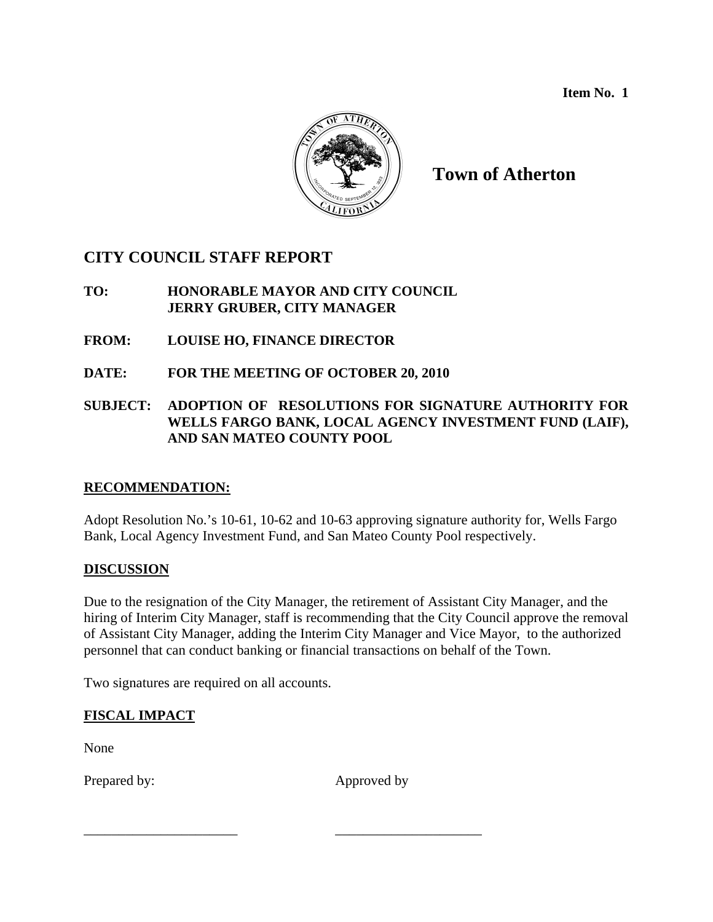**Item No. 1** 



## **Town of Atherton**

## **CITY COUNCIL STAFF REPORT**

### **TO: HONORABLE MAYOR AND CITY COUNCIL JERRY GRUBER, CITY MANAGER**

- **FROM: LOUISE HO, FINANCE DIRECTOR**
- **DATE: FOR THE MEETING OF OCTOBER 20, 2010**

### **SUBJECT: ADOPTION OF RESOLUTIONS FOR SIGNATURE AUTHORITY FOR WELLS FARGO BANK, LOCAL AGENCY INVESTMENT FUND (LAIF), AND SAN MATEO COUNTY POOL**

## **RECOMMENDATION:**

Adopt Resolution No.'s 10-61, 10-62 and 10-63 approving signature authority for, Wells Fargo Bank, Local Agency Investment Fund, and San Mateo County Pool respectively.

#### **DISCUSSION**

Due to the resignation of the City Manager, the retirement of Assistant City Manager, and the hiring of Interim City Manager, staff is recommending that the City Council approve the removal of Assistant City Manager, adding the Interim City Manager and Vice Mayor, to the authorized personnel that can conduct banking or financial transactions on behalf of the Town.

Two signatures are required on all accounts.

## **FISCAL IMPACT**

None

Prepared by: Approved by:

\_\_\_\_\_\_\_\_\_\_\_\_\_\_\_\_\_\_\_\_\_\_ \_\_\_\_\_\_\_\_\_\_\_\_\_\_\_\_\_\_\_\_\_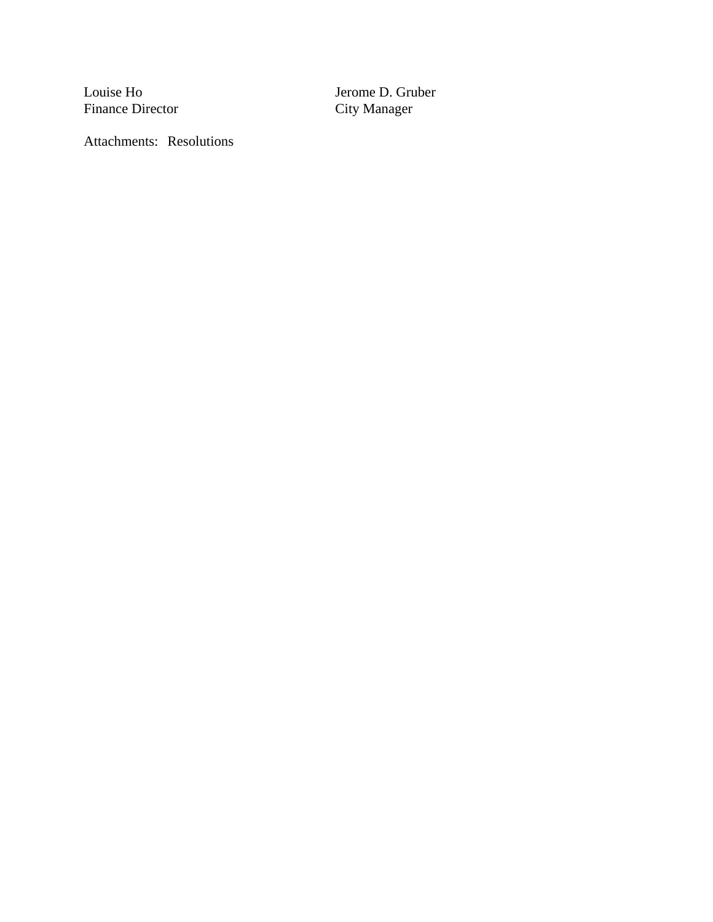Finance Director

Louise Ho Jerome D. Gruber<br>Finance Director City Manager

Attachments: Resolutions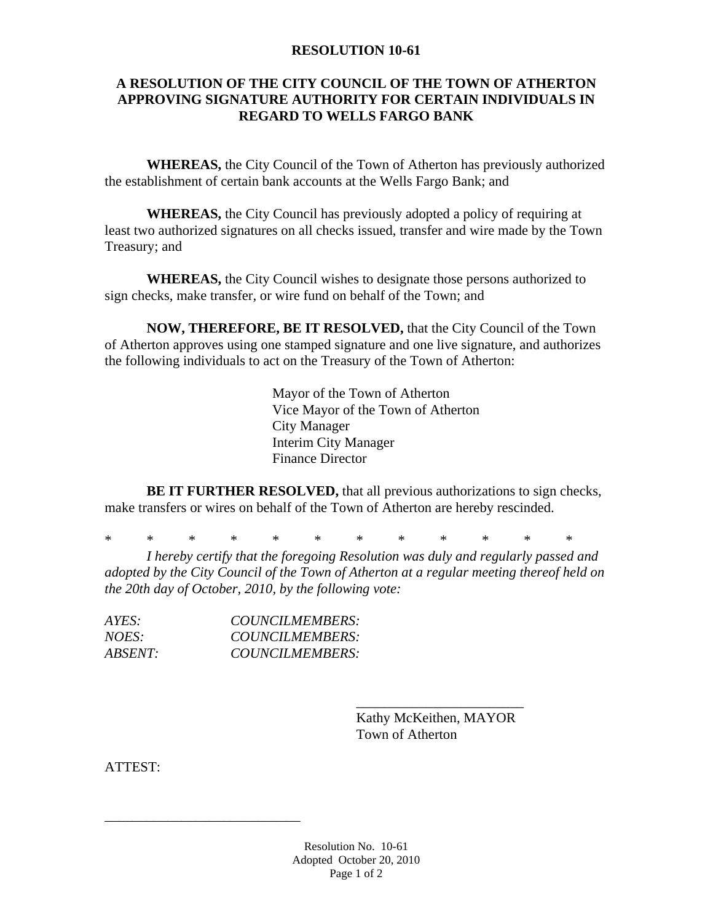#### **RESOLUTION 10-61**

#### **A RESOLUTION OF THE CITY COUNCIL OF THE TOWN OF ATHERTON APPROVING SIGNATURE AUTHORITY FOR CERTAIN INDIVIDUALS IN REGARD TO WELLS FARGO BANK**

**WHEREAS,** the City Council of the Town of Atherton has previously authorized the establishment of certain bank accounts at the Wells Fargo Bank; and

**WHEREAS,** the City Council has previously adopted a policy of requiring at least two authorized signatures on all checks issued, transfer and wire made by the Town Treasury; and

**WHEREAS,** the City Council wishes to designate those persons authorized to sign checks, make transfer, or wire fund on behalf of the Town; and

**NOW, THEREFORE, BE IT RESOLVED,** that the City Council of the Town of Atherton approves using one stamped signature and one live signature, and authorizes the following individuals to act on the Treasury of the Town of Atherton:

> Mayor of the Town of Atherton Vice Mayor of the Town of Atherton City Manager Interim City Manager Finance Director

**BE IT FURTHER RESOLVED,** that all previous authorizations to sign checks, make transfers or wires on behalf of the Town of Atherton are hereby rescinded.

\* \* \* \* \* \* \* \* \* \* \* \*

 $\frac{1}{2}$  , and the set of the set of the set of the set of the set of the set of the set of the set of the set of the set of the set of the set of the set of the set of the set of the set of the set of the set of the set

*I hereby certify that the foregoing Resolution was duly and regularly passed and adopted by the City Council of the Town of Atherton at a regular meeting thereof held on the 20th day of October, 2010, by the following vote:* 

| AYES:          | COUNCILMEMBERS: |
|----------------|-----------------|
| <i>NOES:</i>   | COUNCILMEMBERS: |
| <i>ABSENT:</i> | COUNCILMEMBERS: |

\_\_\_\_\_\_\_\_\_\_\_\_\_\_\_\_\_\_\_\_\_\_\_\_\_\_\_\_

 Kathy McKeithen, MAYOR Town of Atherton

ATTEST: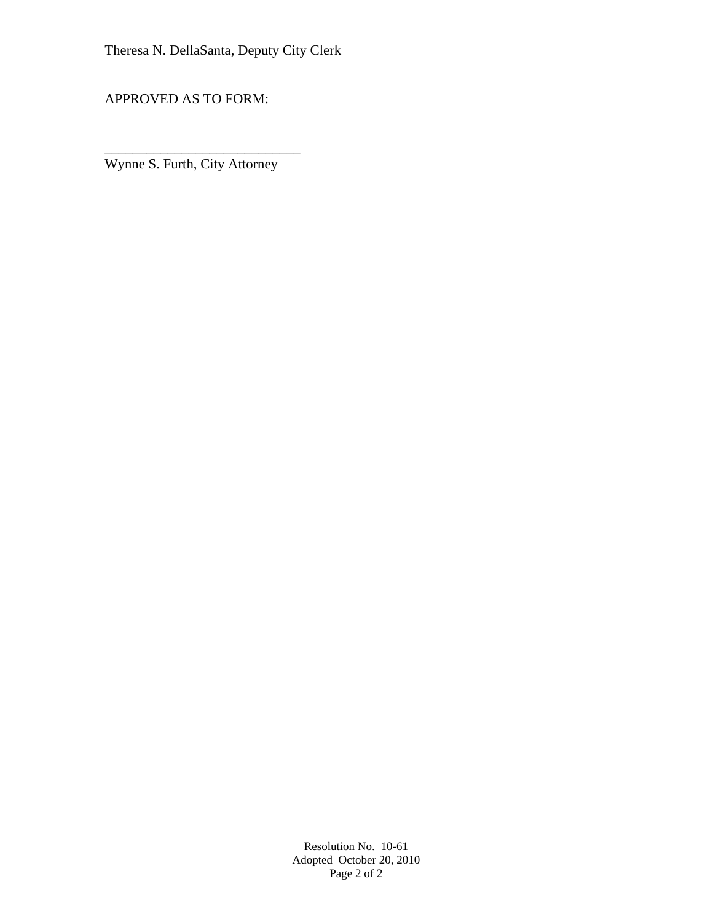APPROVED AS TO FORM:

Wynne S. Furth, City Attorney

\_\_\_\_\_\_\_\_\_\_\_\_\_\_\_\_\_\_\_\_\_\_\_\_\_\_\_\_

Resolution No. 10-61 Adopted October 20, 2010 Page 2 of 2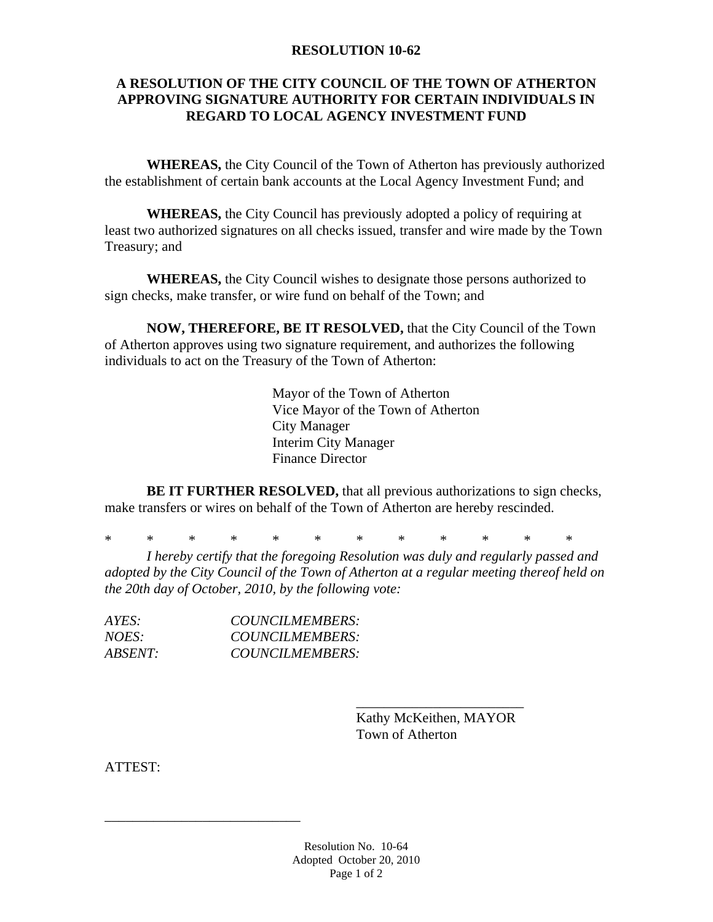#### **RESOLUTION 10-62**

#### **A RESOLUTION OF THE CITY COUNCIL OF THE TOWN OF ATHERTON APPROVING SIGNATURE AUTHORITY FOR CERTAIN INDIVIDUALS IN REGARD TO LOCAL AGENCY INVESTMENT FUND**

**WHEREAS,** the City Council of the Town of Atherton has previously authorized the establishment of certain bank accounts at the Local Agency Investment Fund; and

**WHEREAS,** the City Council has previously adopted a policy of requiring at least two authorized signatures on all checks issued, transfer and wire made by the Town Treasury; and

**WHEREAS,** the City Council wishes to designate those persons authorized to sign checks, make transfer, or wire fund on behalf of the Town; and

**NOW, THEREFORE, BE IT RESOLVED,** that the City Council of the Town of Atherton approves using two signature requirement, and authorizes the following individuals to act on the Treasury of the Town of Atherton:

> Mayor of the Town of Atherton Vice Mayor of the Town of Atherton City Manager Interim City Manager Finance Director

**BE IT FURTHER RESOLVED,** that all previous authorizations to sign checks, make transfers or wires on behalf of the Town of Atherton are hereby rescinded.

\* \* \* \* \* \* \* \* \* \* \* \*

 $\frac{1}{2}$  , and the set of the set of the set of the set of the set of the set of the set of the set of the set of the set of the set of the set of the set of the set of the set of the set of the set of the set of the set

*I hereby certify that the foregoing Resolution was duly and regularly passed and adopted by the City Council of the Town of Atherton at a regular meeting thereof held on the 20th day of October, 2010, by the following vote:* 

| AYES:          | COUNCILMEMBERS: |
|----------------|-----------------|
| <i>NOES:</i>   | COUNCILMEMBERS: |
| <i>ABSENT:</i> | COUNCILMEMBERS: |

\_\_\_\_\_\_\_\_\_\_\_\_\_\_\_\_\_\_\_\_\_\_\_\_\_\_\_\_

 Kathy McKeithen, MAYOR Town of Atherton

ATTEST:

Resolution No. 10-64 Adopted October 20, 2010 Page 1 of 2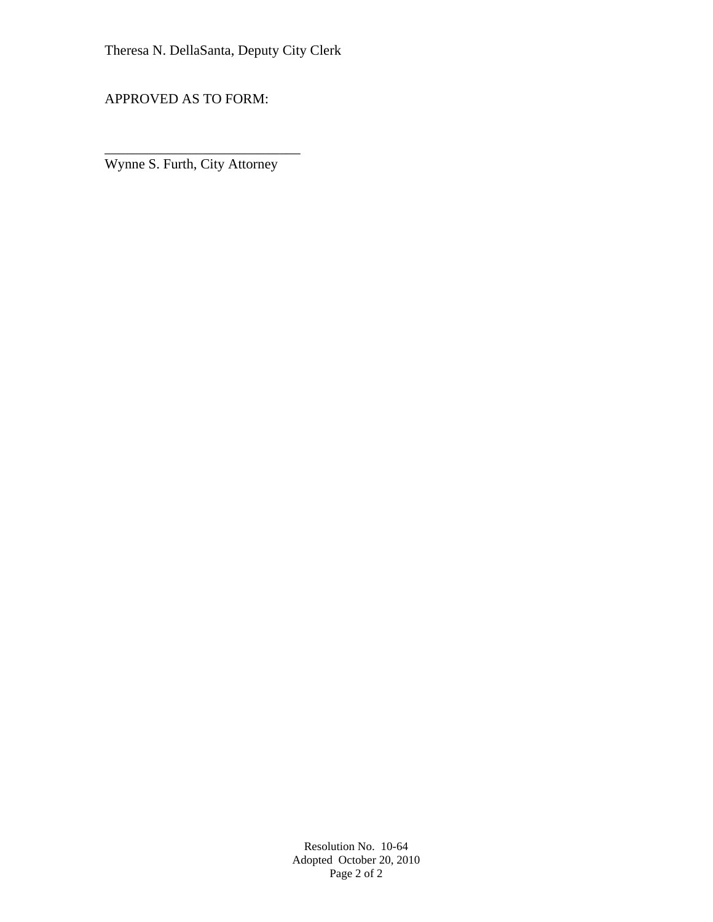APPROVED AS TO FORM:

Wynne S. Furth, City Attorney

\_\_\_\_\_\_\_\_\_\_\_\_\_\_\_\_\_\_\_\_\_\_\_\_\_\_\_\_

Resolution No. 10-64 Adopted October 20, 2010 Page 2 of 2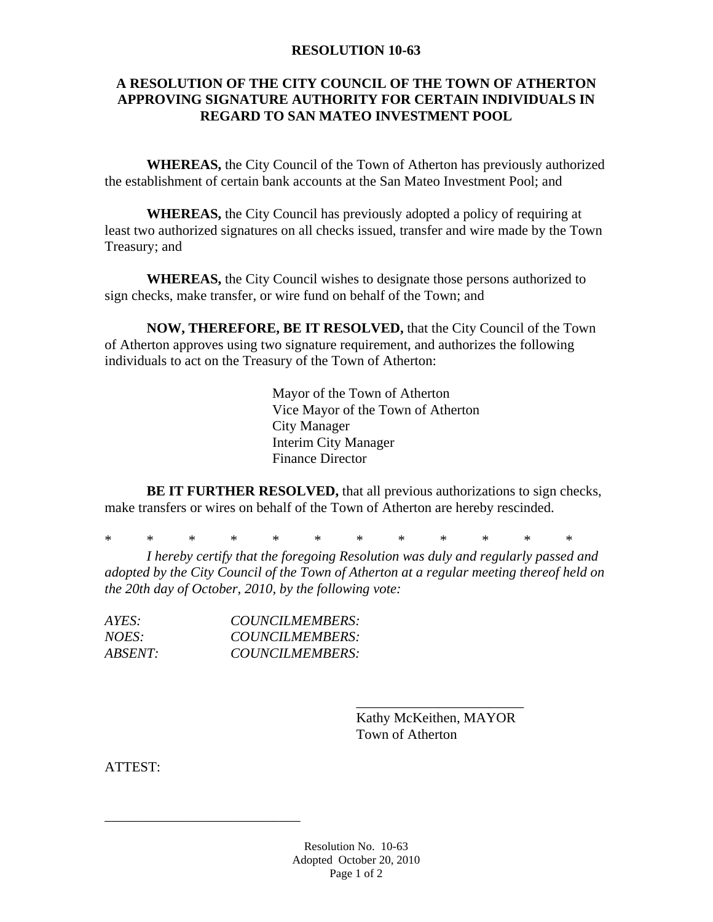#### **RESOLUTION 10-63**

#### **A RESOLUTION OF THE CITY COUNCIL OF THE TOWN OF ATHERTON APPROVING SIGNATURE AUTHORITY FOR CERTAIN INDIVIDUALS IN REGARD TO SAN MATEO INVESTMENT POOL**

**WHEREAS,** the City Council of the Town of Atherton has previously authorized the establishment of certain bank accounts at the San Mateo Investment Pool; and

**WHEREAS,** the City Council has previously adopted a policy of requiring at least two authorized signatures on all checks issued, transfer and wire made by the Town Treasury; and

**WHEREAS,** the City Council wishes to designate those persons authorized to sign checks, make transfer, or wire fund on behalf of the Town; and

**NOW, THEREFORE, BE IT RESOLVED,** that the City Council of the Town of Atherton approves using two signature requirement, and authorizes the following individuals to act on the Treasury of the Town of Atherton:

> Mayor of the Town of Atherton Vice Mayor of the Town of Atherton City Manager Interim City Manager Finance Director

**BE IT FURTHER RESOLVED,** that all previous authorizations to sign checks, make transfers or wires on behalf of the Town of Atherton are hereby rescinded.

\* \* \* \* \* \* \* \* \* \* \* \*

 $\frac{1}{2}$  , and the set of the set of the set of the set of the set of the set of the set of the set of the set of the set of the set of the set of the set of the set of the set of the set of the set of the set of the set

*I hereby certify that the foregoing Resolution was duly and regularly passed and adopted by the City Council of the Town of Atherton at a regular meeting thereof held on the 20th day of October, 2010, by the following vote:* 

| AYES:          | COUNCILMEMBERS: |
|----------------|-----------------|
| NOES:          | COUNCILMEMBERS: |
| <i>ABSENT:</i> | COUNCILMEMBERS: |

\_\_\_\_\_\_\_\_\_\_\_\_\_\_\_\_\_\_\_\_\_\_\_\_\_\_\_\_

 Kathy McKeithen, MAYOR Town of Atherton

ATTEST: